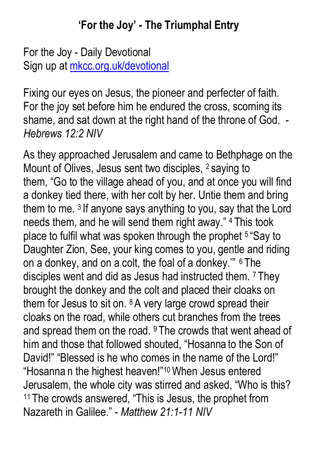#### **'For the Joy' - The Triumphal Entry**

For the Joy - Daily Devotional Sign up at mkcc.org.uk/devotional

Fixing our eyes on Jesus, the pioneer and perfecter of faith. For the joy set before him he endured the cross, scorning its shame, and sat down at the right hand of the throne of God. - *Hebrews 12:2 NIV*

As they approached Jerusalem and came to Bethphage on the Mount of Olives, Jesus sent two disciples, 2 saying to them, "Go to the village ahead of you, and at once you will find a donkey tied there, with her colt by her. Untie them and bring them to me. <sup>3</sup> If anyone says anything to you, say that the Lord needs them, and he will send them right away." 4 This took place to fulfil what was spoken through the prophet 5 "Say to Daughter Zion, See, your king comes to you, gentle and riding on a donkey, and on a colt, the foal of a donkey.'" 6 The disciples went and did as Jesus had instructed them. <sup>7</sup> They brought the donkey and the colt and placed their cloaks on them for Jesus to sit on. <sup>8</sup> A very large crowd spread their cloaks on the road, while others cut branches from the trees and spread them on the road. <sup>9</sup> The crowds that went ahead of him and those that followed shouted, "Hosanna to the Son of David!" "Blessed is he who comes in the name of the Lord!" "Hosanna n the highest heaven!"10When Jesus entered Jerusalem, the whole city was stirred and asked, "Who is this? <sup>11</sup> The crowds answered, "This is Jesus, the prophet from Nazareth in Galilee." - *Matthew 21:1-11 NIV*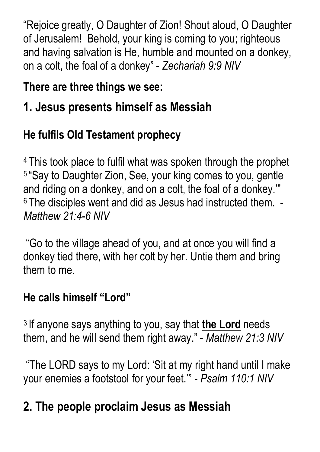"Rejoice greatly, O Daughter of Zion! Shout aloud, O Daughter of Jerusalem! Behold, your king is coming to you; righteous and having salvation is He, humble and mounted on a donkey, on a colt, the foal of a donkey" - *Zechariah 9:9 NIV*

### **There are three things we see:**

## **1. Jesus presents himself as Messiah**

## **He fulfils Old Testament prophecy**

<sup>4</sup> This took place to fulfil what was spoken through the prophet <sup>5</sup> "Say to Daughter Zion, See, your king comes to you, gentle and riding on a donkey, and on a colt, the foal of a donkey.'" <sup>6</sup> The disciples went and did as Jesus had instructed them. - *Matthew 21:4-6 NIV*

"Go to the village ahead of you, and at once you will find a donkey tied there, with her colt by her. Untie them and bring them to me.

### **He calls himself "Lord"**

<sup>3</sup> If anyone says anything to you, say that **the Lord** needs them, and he will send them right away." - *Matthew 21:3 NIV*

"The LORD says to my Lord: 'Sit at my right hand until I make your enemies a footstool for your feet.'" - *Psalm 110:1 NIV*

# **2. The people proclaim Jesus as Messiah**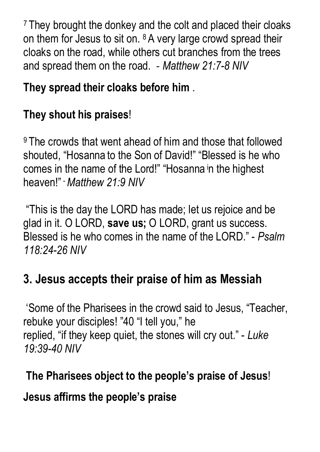<sup>7</sup> They brought the donkey and the colt and placed their cloaks on them for Jesus to sit on. <sup>8</sup> A very large crowd spread their cloaks on the road, while others cut branches from the trees and spread them on the road. - *Matthew 21:7-8 NIV*

### **They spread their cloaks before him** .

### **They shout his praises**!

<sup>9</sup> The crowds that went ahead of him and those that followed shouted, "Hosanna to the Son of David!" "Blessed is he who comes in the name of the Lord!" "Hosanna in the highest heaven!" -*Matthew 21:9 NIV*

"This is the day the LORD has made; let us rejoice and be glad in it. O LORD, **save us;** O LORD, grant us success. Blessed is he who comes in the name of the LORD." - *Psalm 118:24-26 NIV*

## **3. Jesus accepts their praise of him as Messiah**

'Some of the Pharisees in the crowd said to Jesus, "Teacher, rebuke your disciples! "40 "I tell you," he replied, "if they keep quiet, the stones will cry out." - *Luke 19:39-40 NIV*

## **The Pharisees object to the people's praise of Jesus**!

#### **Jesus affirms the people's praise**